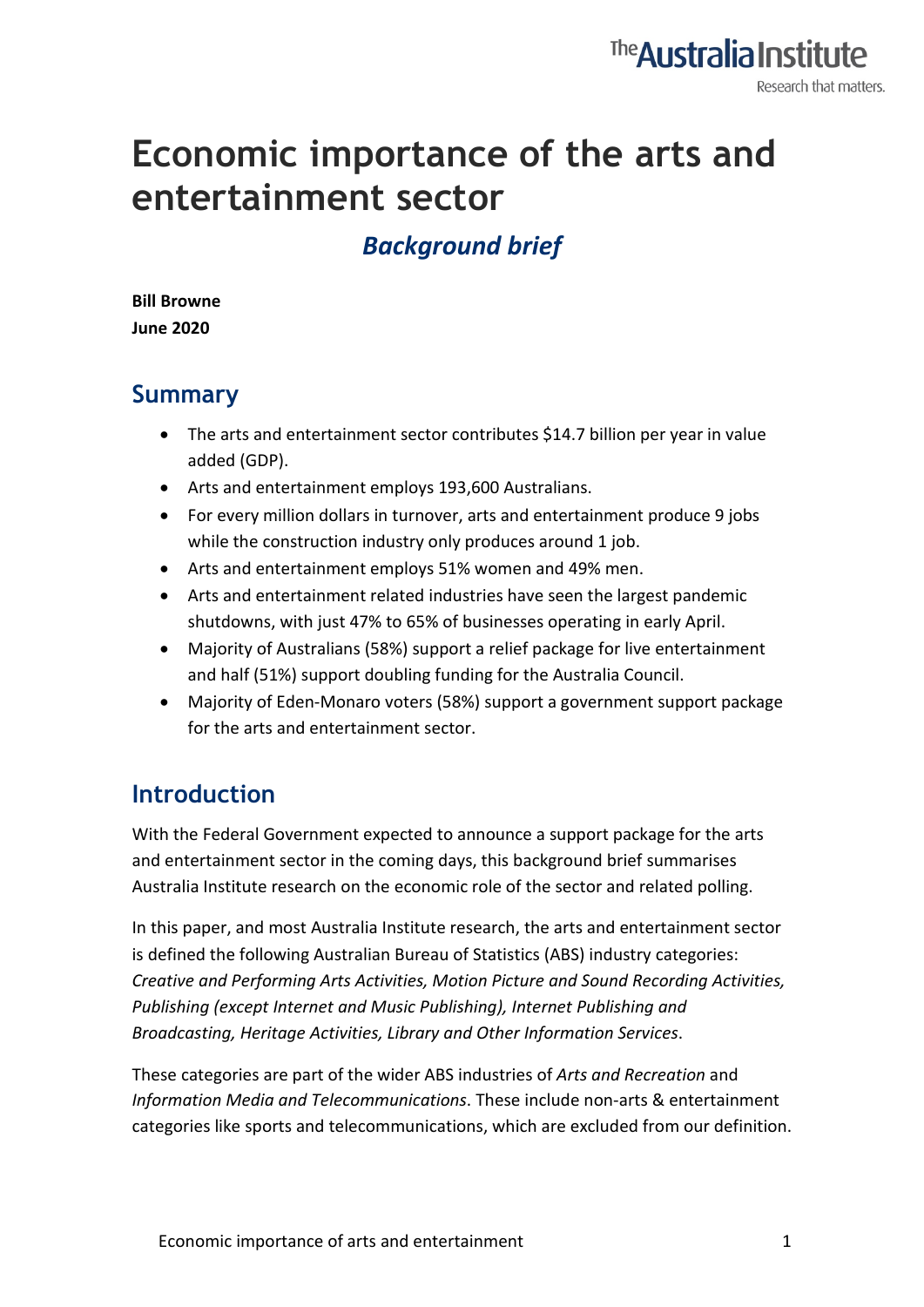

# **Economic importance of the arts and entertainment sector**

# *Background brief*

**Bill Browne June 2020**

#### **Summary**

- The arts and entertainment sector contributes \$14.7 billion per year in value added (GDP).
- Arts and entertainment employs 193,600 Australians.
- For every million dollars in turnover, arts and entertainment produce 9 jobs while the construction industry only produces around 1 job.
- Arts and entertainment employs 51% women and 49% men.
- Arts and entertainment related industries have seen the largest pandemic shutdowns, with just 47% to 65% of businesses operating in early April.
- Majority of Australians (58%) support a relief package for live entertainment and half (51%) support doubling funding for the Australia Council.
- Majority of Eden-Monaro voters (58%) support a government support package for the arts and entertainment sector.

### **Introduction**

With the Federal Government expected to announce a support package for the arts and entertainment sector in the coming days, this background brief summarises Australia Institute research on the economic role of the sector and related polling.

In this paper, and most Australia Institute research, the arts and entertainment sector is defined the following Australian Bureau of Statistics (ABS) industry categories: *Creative and Performing Arts Activities, Motion Picture and Sound Recording Activities, Publishing (except Internet and Music Publishing), Internet Publishing and Broadcasting, Heritage Activities, Library and Other Information Services*.

These categories are part of the wider ABS industries of *Arts and Recreation* and *Information Media and Telecommunications*. These include non-arts & entertainment categories like sports and telecommunications, which are excluded from our definition.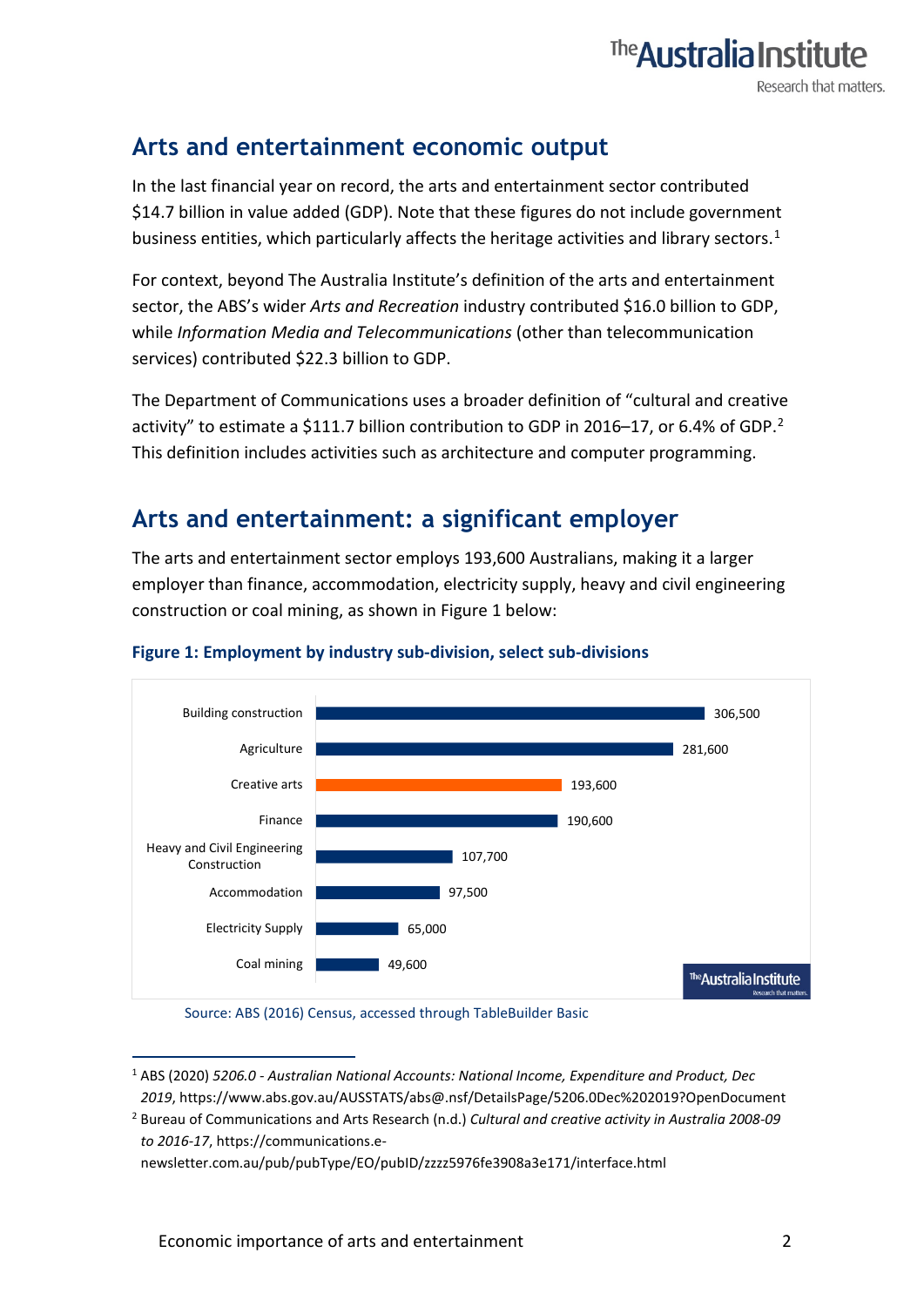### **Arts and entertainment economic output**

In the last financial year on record, the arts and entertainment sector contributed \$14.7 billion in value added (GDP). Note that these figures do not include government business entities, which particularly affects the heritage activities and library sectors.<sup>[1](#page-1-0)</sup>

The **Australia Institu** 

Research that matters.

For context, beyond The Australia Institute's definition of the arts and entertainment sector, the ABS's wider *Arts and Recreation* industry contributed \$16.0 billion to GDP, while *Information Media and Telecommunications* (other than telecommunication services) contributed \$22.3 billion to GDP.

The Department of Communications uses a broader definition of "cultural and creative activity" to estimate a \$111.7 billion contribution to GDP in [2](#page-1-1)016–17, or 6.4% of GDP.<sup>2</sup> This definition includes activities such as architecture and computer programming.

### **Arts and entertainment: a significant employer**

The arts and entertainment sector employs 193,600 Australians, making it a larger employer than finance, accommodation, electricity supply, heavy and civil engineering construction or coal mining, as shown in Figure 1 below:



#### **Figure 1: Employment by industry sub-division, select sub-divisions**

Source: ABS (2016) Census, accessed through TableBuilder Basic

newsletter.com.au/pub/pubType/EO/pubID/zzzz5976fe3908a3e171/interface.html

<span id="page-1-0"></span><sup>1</sup> ABS (2020) *5206.0 - Australian National Accounts: National Income, Expenditure and Product, Dec 2019*, https://www.abs.gov.au/AUSSTATS/abs@.nsf/DetailsPage/5206.0Dec%202019?OpenDocument

<span id="page-1-1"></span><sup>2</sup> Bureau of Communications and Arts Research (n.d.) *Cultural and creative activity in Australia 2008-09 to 2016-17*, https://communications.e-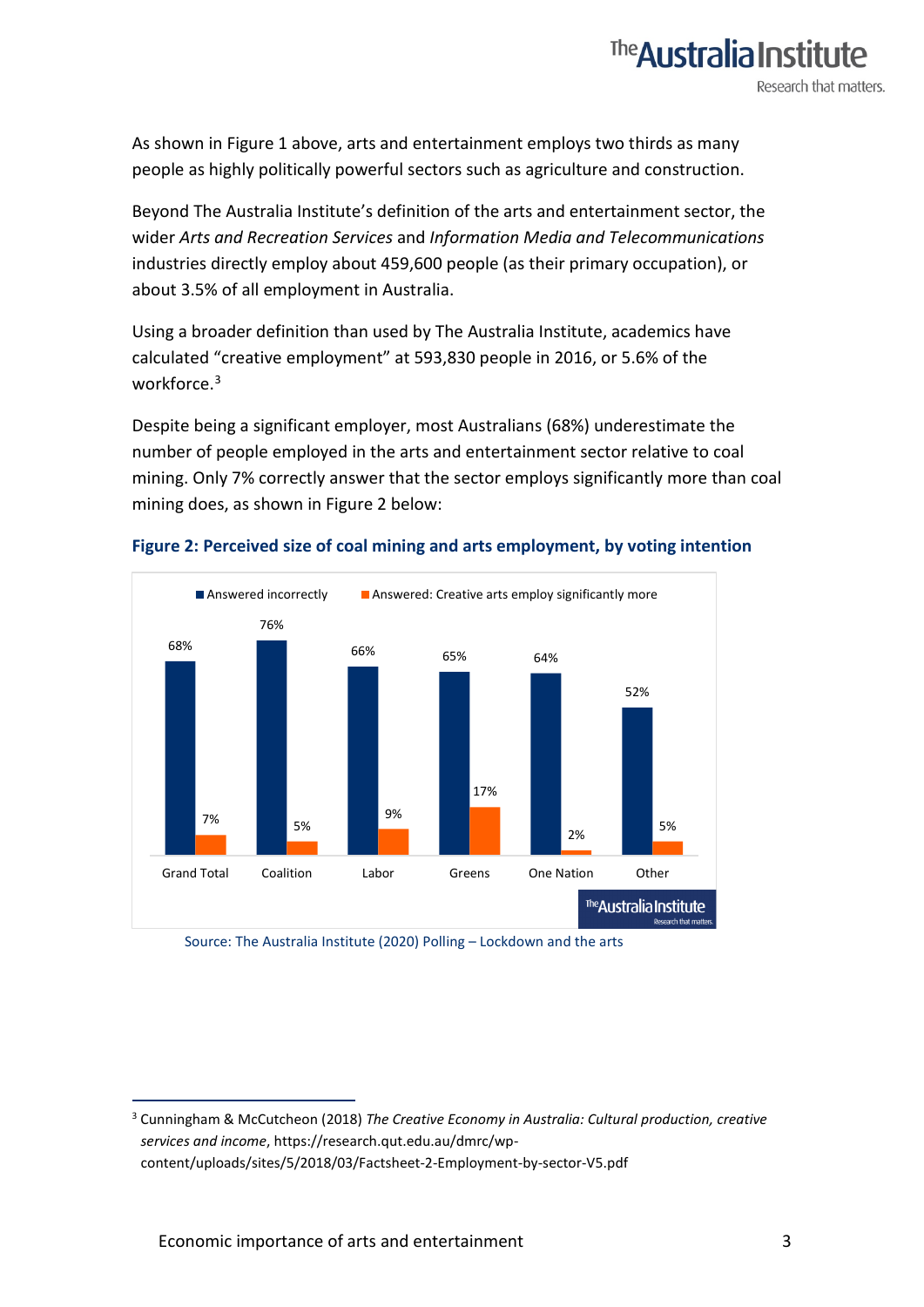

The **Australia Institu** 

Research that matters.

Beyond The Australia Institute's definition of the arts and entertainment sector, the wider *Arts and Recreation Services* and *Information Media and Telecommunications* industries directly employ about 459,600 people (as their primary occupation), or about 3.5% of all employment in Australia.

Using a broader definition than used by The Australia Institute, academics have calculated "creative employment" at 593,830 people in 2016, or 5.6% of the workforce.<sup>3</sup>

Despite being a significant employer, most Australians (68%) underestimate the number of people employed in the arts and entertainment sector relative to coal mining. Only 7% correctly answer that the sector employs significantly more than coal mining does, as shown in Figure 2 below:



#### **Figure 2: Perceived size of coal mining and arts employment, by voting intention**

Source: The Australia Institute (2020) Polling – Lockdown and the arts

<span id="page-2-0"></span><sup>3</sup> Cunningham & McCutcheon (2018) *The Creative Economy in Australia: Cultural production, creative services and income*, https://research.qut.edu.au/dmrc/wpcontent/uploads/sites/5/2018/03/Factsheet-2-Employment-by-sector-V5.pdf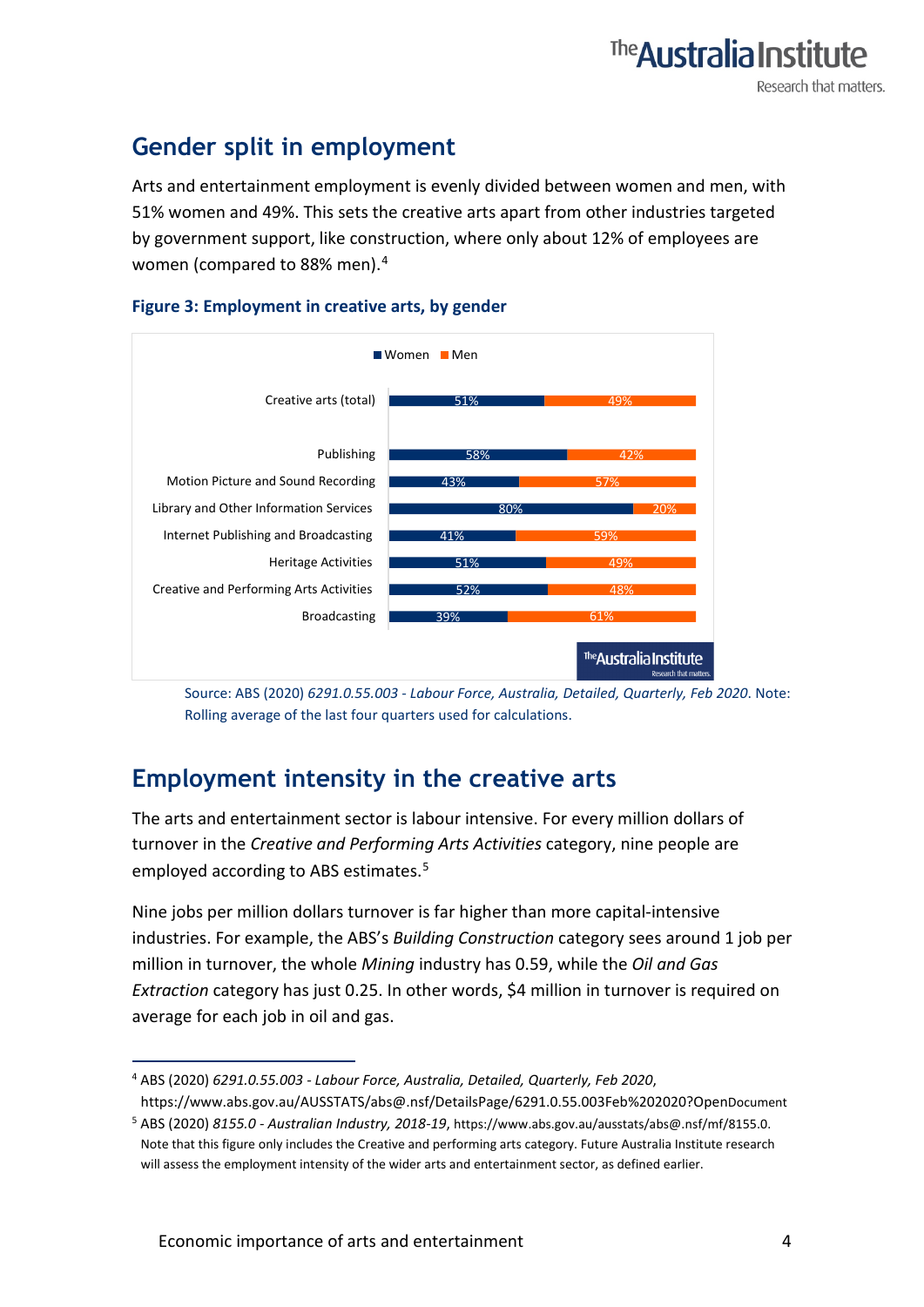# **Gender split in employment**

Arts and entertainment employment is evenly divided between women and men, with 51% women and 49%. This sets the creative arts apart from other industries targeted by government support, like construction, where only about 12% of employees are women (compared to 88% men).[4](#page-3-0)





Source: ABS (2020) *6291.0.55.003 - Labour Force, Australia, Detailed, Quarterly, Feb 2020*. Note: Rolling average of the last four quarters used for calculations.

## **Employment intensity in the creative arts**

The arts and entertainment sector is labour intensive. For every million dollars of turnover in the *Creative and Performing Arts Activities* category, nine people are employed according to ABS estimates.<sup>[5](#page-3-1)</sup>

Nine jobs per million dollars turnover is far higher than more capital-intensive industries. For example, the ABS's *Building Construction* category sees around 1 job per million in turnover, the whole *Mining* industry has 0.59, while the *Oil and Gas Extraction* category has just 0.25. In other words, \$4 million in turnover is required on average for each job in oil and gas.

<span id="page-3-0"></span><sup>4</sup> ABS (2020) *6291.0.55.003 - Labour Force, Australia, Detailed, Quarterly, Feb 2020*, https://www.abs.gov.au/AUSSTATS/abs@.nsf/DetailsPage/6291.0.55.003Feb%202020?OpenDocument

<span id="page-3-1"></span><sup>5</sup> ABS (2020) *8155.0 - Australian Industry, 2018-19*[, https://www.abs.gov.au/ausstats/abs@.nsf/mf/8155.0.](https://www.abs.gov.au/ausstats/abs@.nsf/mf/8155.0)  Note that this figure only includes the Creative and performing arts category. Future Australia Institute research will assess the employment intensity of the wider arts and entertainment sector, as defined earlier.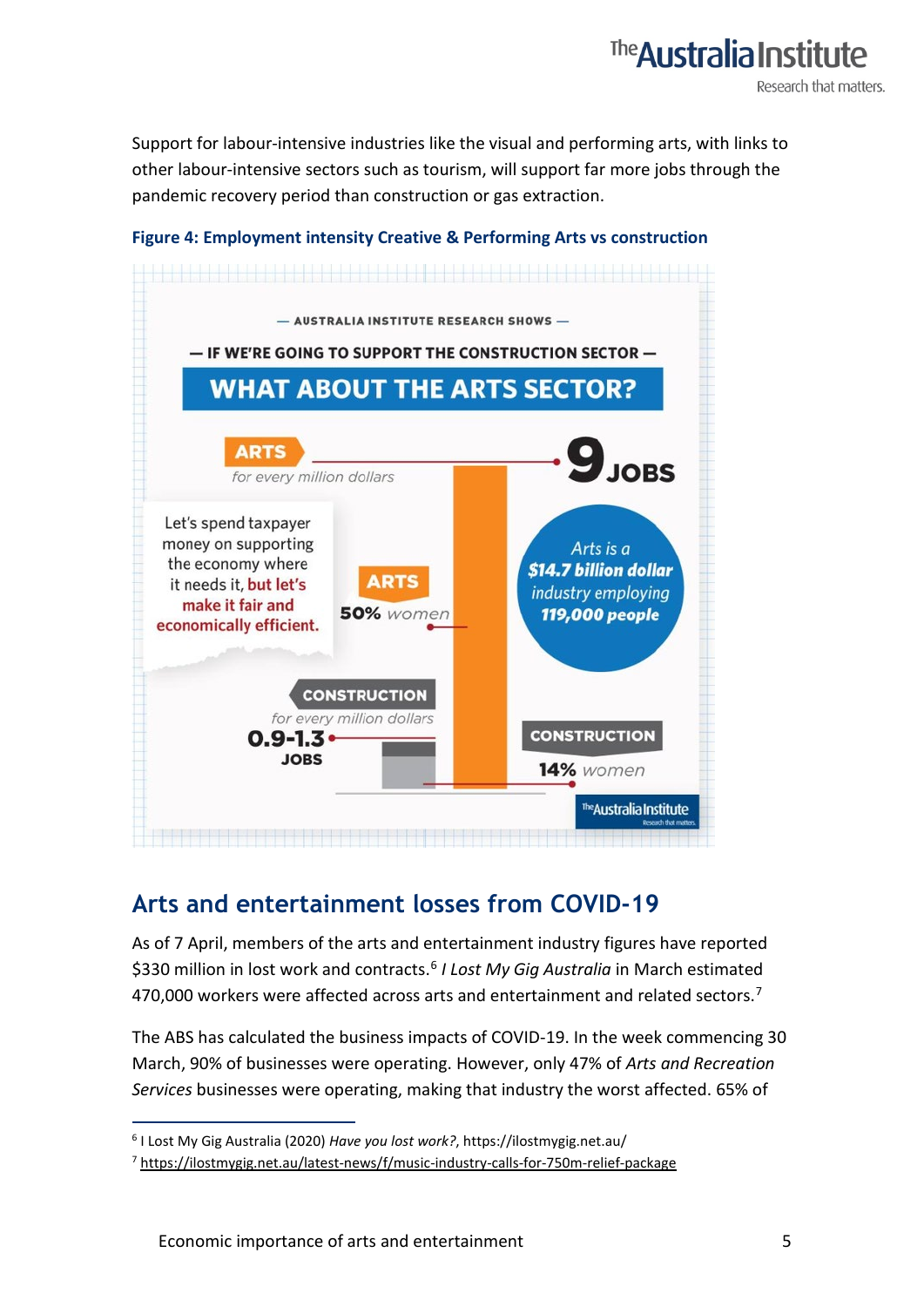# The **Australia Institut** Research that matters.

Support for labour-intensive industries like the visual and performing arts, with links to other labour-intensive sectors such as tourism, will support far more jobs through the pandemic recovery period than construction or gas extraction.

#### **Figure 4: Employment intensity Creative & Performing Arts vs construction**



## **Arts and entertainment losses from COVID-19**

As of 7 April, members of the arts and entertainment industry figures have reported \$330 million in lost work and contracts.[6](#page-4-0) *I Lost My Gig Australia* in March estimated 4[7](#page-4-1)0,000 workers were affected across arts and entertainment and related sectors.<sup>7</sup>

The ABS has calculated the business impacts of COVID-19. In the week commencing 30 March, 90% of businesses were operating. However, only 47% of *Arts and Recreation Services* businesses were operating, making that industry the worst affected. 65% of

<span id="page-4-0"></span><sup>6</sup> I Lost My Gig Australia (2020) *Have you lost work?*, https://ilostmygig.net.au/

<span id="page-4-1"></span><sup>&</sup>lt;sup>7</sup> <https://ilostmygig.net.au/latest-news/f/music-industry-calls-for-750m-relief-package>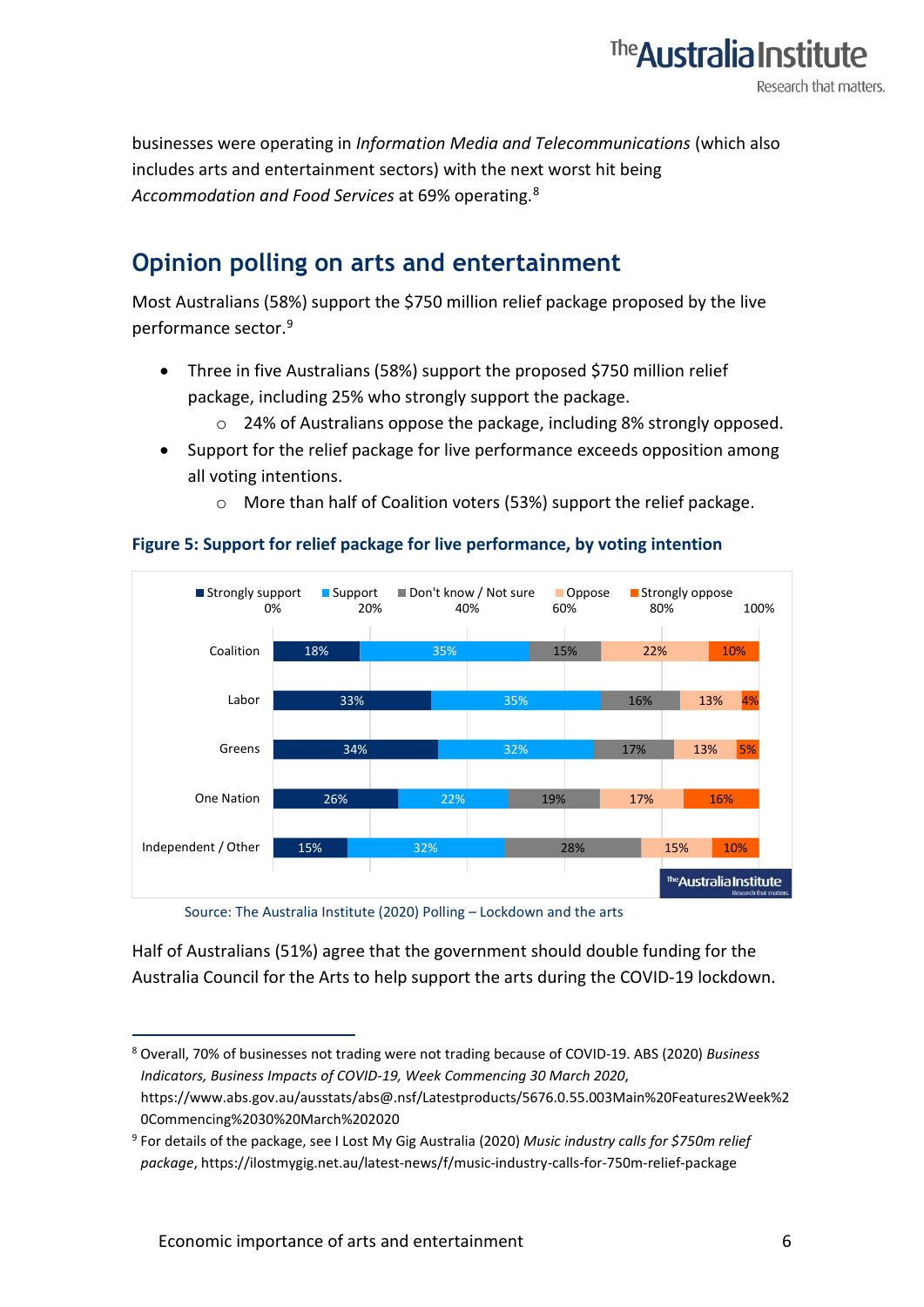

businesses were operating in *Information Media and Telecommunications* (which also includes arts and entertainment sectors) with the next worst hit being *Accommodation and Food Services* at 69% operating.[8](#page-5-0)

### **Opinion polling on arts and entertainment**

Most Australians (58%) support the \$750 million relief package proposed by the live performance sector.<sup>[9](#page-5-1)</sup>

- Three in five Australians (58%) support the proposed \$750 million relief package, including 25% who strongly support the package.
	- o 24% of Australians oppose the package, including 8% strongly opposed.
- Support for the relief package for live performance exceeds opposition among all voting intentions.
	- o More than half of Coalition voters (53%) support the relief package.



#### **Figure 5: Support for relief package for live performance, by voting intention**

Source: The Australia Institute (2020) Polling – Lockdown and the arts

Half of Australians (51%) agree that the government should double funding for the Australia Council for the Arts to help support the arts during the COVID-19 lockdown.

<span id="page-5-0"></span><sup>8</sup> Overall, 70% of businesses not trading were not trading because of COVID-19. ABS (2020) *Business Indicators, Business Impacts of COVID-19, Week Commencing 30 March 2020*, https://www.abs.gov.au/ausstats/abs@.nsf/Latestproducts/5676.0.55.003Main%20Features2Week%2 0Commencing%2030%20March%202020

<span id="page-5-1"></span><sup>9</sup> For details of the package, see I Lost My Gig Australia (2020) *Music industry calls for \$750m relief package*, https://ilostmygig.net.au/latest-news/f/music-industry-calls-for-750m-relief-package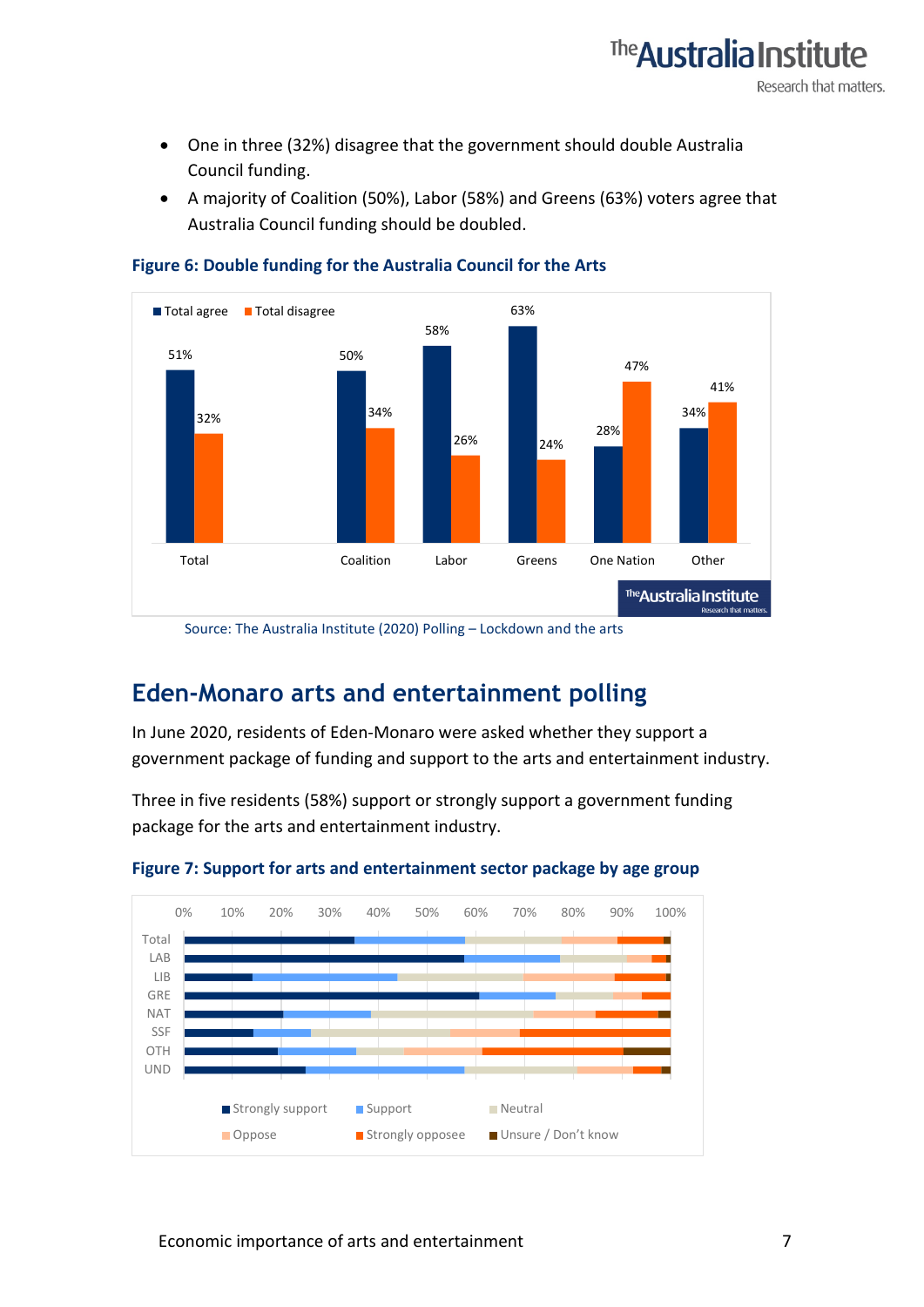

- One in three (32%) disagree that the government should double Australia Council funding.
- A majority of Coalition (50%), Labor (58%) and Greens (63%) voters agree that Australia Council funding should be doubled.



**Figure 6: Double funding for the Australia Council for the Arts**

Source: The Australia Institute (2020) Polling – Lockdown and the arts

### **Eden-Monaro arts and entertainment polling**

In June 2020, residents of Eden-Monaro were asked whether they support a government package of funding and support to the arts and entertainment industry.

Three in five residents (58%) support or strongly support a government funding package for the arts and entertainment industry.